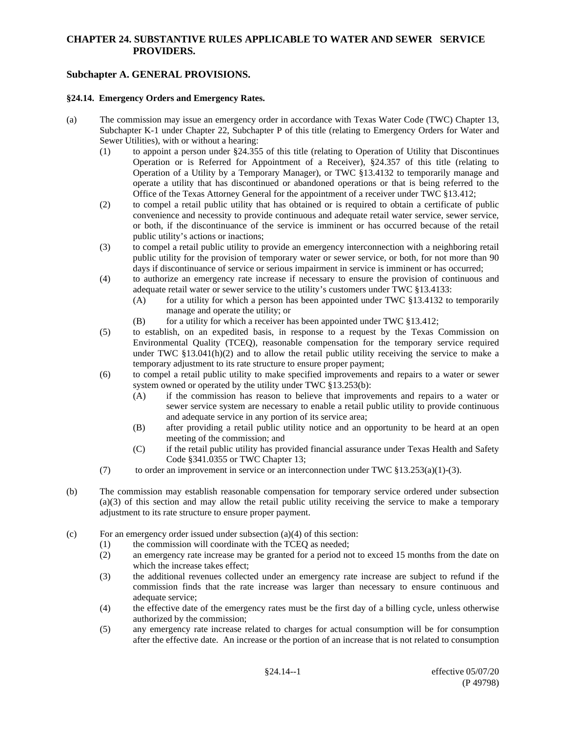### **CHAPTER 24. SUBSTANTIVE RULES APPLICABLE TO WATER AND SEWER SERVICE PROVIDERS.**

# **Subchapter A. GENERAL PROVISIONS.**

#### **§24.14. Emergency Orders and Emergency Rates.**

- (a) The commission may issue an emergency order in accordance with Texas Water Code (TWC) Chapter 13, Subchapter K-1 under Chapter 22, Subchapter P of this title (relating to Emergency Orders for Water and Sewer Utilities), with or without a hearing:
	- (1) to appoint a person under §24.355 of this title (relating to Operation of Utility that Discontinues Operation or is Referred for Appointment of a Receiver), §24.357 of this title (relating to Operation of a Utility by a Temporary Manager), or TWC §13.4132 to temporarily manage and operate a utility that has discontinued or abandoned operations or that is being referred to the Office of the Texas Attorney General for the appointment of a receiver under TWC §13.412;
	- (2) to compel a retail public utility that has obtained or is required to obtain a certificate of public convenience and necessity to provide continuous and adequate retail water service, sewer service, or both, if the discontinuance of the service is imminent or has occurred because of the retail public utility's actions or inactions;
	- (3) to compel a retail public utility to provide an emergency interconnection with a neighboring retail public utility for the provision of temporary water or sewer service, or both, for not more than 90 days if discontinuance of service or serious impairment in service is imminent or has occurred;
	- (4) to authorize an emergency rate increase if necessary to ensure the provision of continuous and adequate retail water or sewer service to the utility's customers under TWC §13.4133:
		- (A) for a utility for which a person has been appointed under TWC  $§13.4132$  to temporarily manage and operate the utility; or
		- (B) for a utility for which a receiver has been appointed under TWC  $§13.412$ ;
	- (5) to establish, on an expedited basis, in response to a request by the Texas Commission on Environmental Quality (TCEQ), reasonable compensation for the temporary service required under TWC  $$13.041(h)(2)$  and to allow the retail public utility receiving the service to make a temporary adjustment to its rate structure to ensure proper payment;
	- (6) to compel a retail public utility to make specified improvements and repairs to a water or sewer system owned or operated by the utility under TWC §13.253(b):
		- (A) if the commission has reason to believe that improvements and repairs to a water or sewer service system are necessary to enable a retail public utility to provide continuous and adequate service in any portion of its service area;
		- (B) after providing a retail public utility notice and an opportunity to be heard at an open meeting of the commission; and
		- (C) if the retail public utility has provided financial assurance under Texas Health and Safety Code §341.0355 or TWC Chapter 13;
	- (7) to order an improvement in service or an interconnection under TWC  $\S 13.253(a)(1)-(3)$ .
- (b) The commission may establish reasonable compensation for temporary service ordered under subsection (a)(3) of this section and may allow the retail public utility receiving the service to make a temporary adjustment to its rate structure to ensure proper payment.
- (c) For an emergency order issued under subsection  $(a)(4)$  of this section:
	- (1) the commission will coordinate with the TCEQ as needed;
		- (2) an emergency rate increase may be granted for a period not to exceed 15 months from the date on which the increase takes effect;
		- (3) the additional revenues collected under an emergency rate increase are subject to refund if the commission finds that the rate increase was larger than necessary to ensure continuous and adequate service;
		- (4) the effective date of the emergency rates must be the first day of a billing cycle, unless otherwise authorized by the commission;
		- (5) any emergency rate increase related to charges for actual consumption will be for consumption after the effective date. An increase or the portion of an increase that is not related to consumption